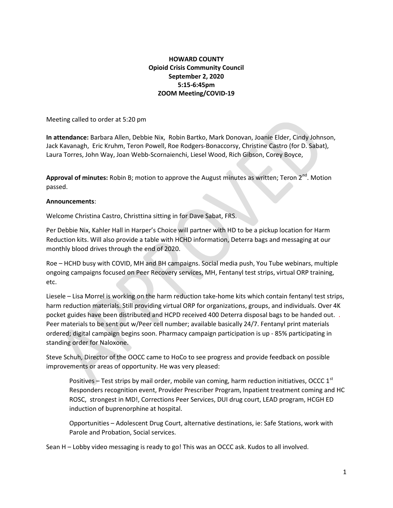## HOWARD COUNTY Opioid Crisis Community Council September 2, 2020 5:15-6:45pm ZOOM Meeting/COVID-19

Meeting called to order at 5:20 pm

In attendance: Barbara Allen, Debbie Nix, Robin Bartko, Mark Donovan, Joanie Elder, Cindy Johnson, Jack Kavanagh, Eric Kruhm, Teron Powell, Roe Rodgers-Bonaccorsy, Christine Castro (for D. Sabat), Laura Torres, John Way, Joan Webb-Scornaienchi, Liesel Wood, Rich Gibson, Corey Boyce,

Approval of minutes: Robin B; motion to approve the August minutes as written; Teron  $2^{nd}$ . Motion passed.

## Announcements:

Welcome Christina Castro, Christtina sitting in for Dave Sabat, FRS.

Per Debbie Nix, Kahler Hall in Harper's Choice will partner with HD to be a pickup location for Harm Reduction kits. Will also provide a table with HCHD information, Deterra bags and messaging at our monthly blood drives through the end of 2020.

Roe – HCHD busy with COVID, MH and BH campaigns. Social media push, You Tube webinars, multiple ongoing campaigns focused on Peer Recovery services, MH, Fentanyl test strips, virtual ORP training, etc.

Liesele – Lisa Morrel is working on the harm reduction take-home kits which contain fentanyl test strips, harm reduction materials. Still providing virtual ORP for organizations, groups, and individuals. Over 4K pocket guides have been distributed and HCPD received 400 Deterra disposal bags to be handed out. . Peer materials to be sent out w/Peer cell number; available basically 24/7. Fentanyl print materials ordered; digital campaign begins soon. Pharmacy campaign participation is up - 85% participating in standing order for Naloxone.

Steve Schuh, Director of the OOCC came to HoCo to see progress and provide feedback on possible improvements or areas of opportunity. He was very pleased:

Positives – Test strips by mail order, mobile van coming, harm reduction initiatives, OCCC  $1^{st}$ Responders recognition event, Provider Prescriber Program, Inpatient treatment coming and HC ROSC, strongest in MD!, Corrections Peer Services, DUI drug court, LEAD program, HCGH ED induction of buprenorphine at hospital.

Opportunities – Adolescent Drug Court, alternative destinations, ie: Safe Stations, work with Parole and Probation, Social services.

Sean H – Lobby video messaging is ready to go! This was an OCCC ask. Kudos to all involved.